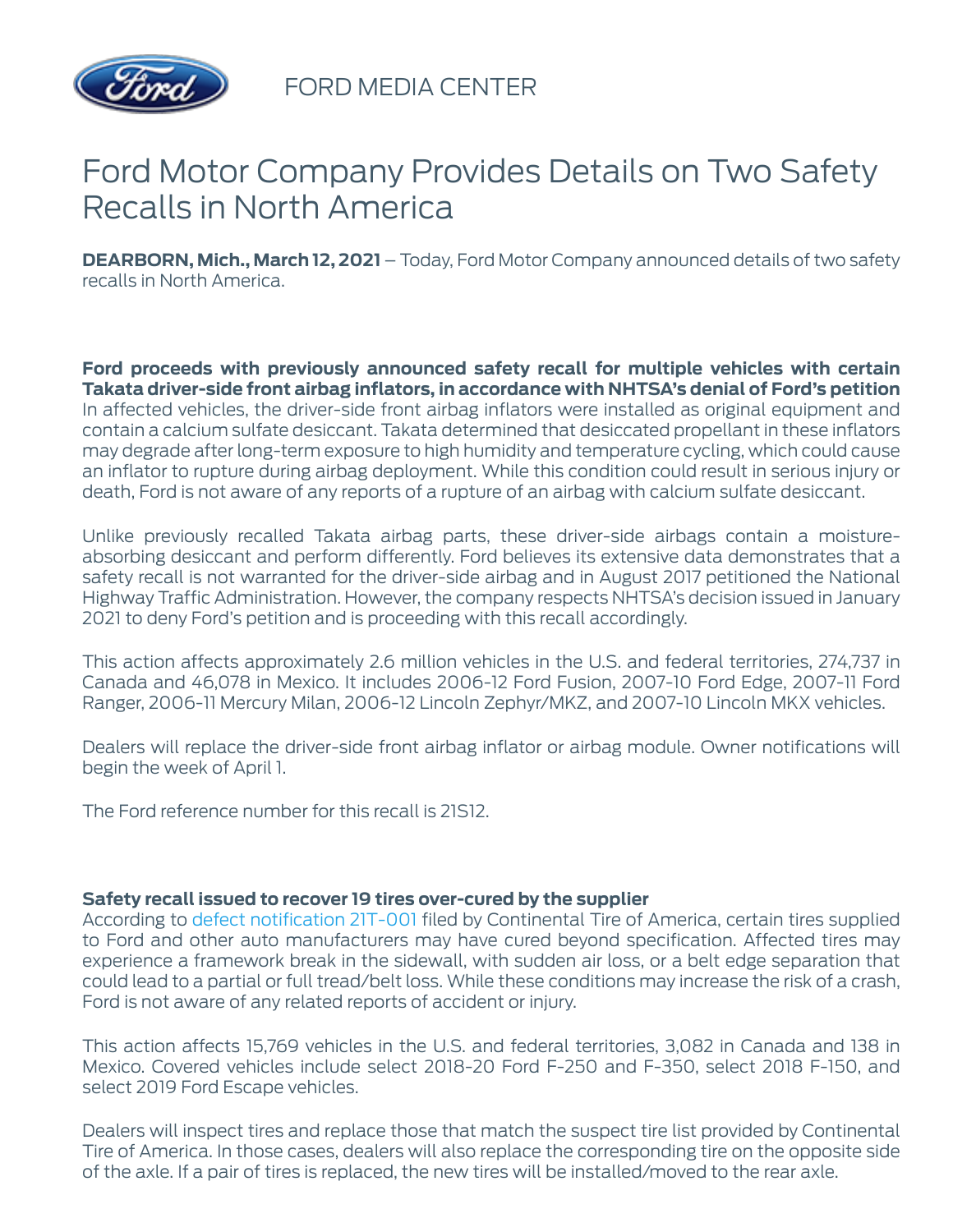

FORD MEDIA CENTER

## Ford Motor Company Provides Details on Two Safety Recalls in North America

**DEARBORN, Mich., March 12, 2021** – Today, Ford Motor Company announced details of two safety recalls in North America.

**Ford proceeds with previously announced safety recall for multiple vehicles with certain Takata driver-side front airbag inflators, in accordance with NHTSA's denial of Ford's petition** In affected vehicles, the driver-side front airbag inflators were installed as original equipment and contain a calcium sulfate desiccant. Takata determined that desiccated propellant in these inflators may degrade after long-term exposure to high humidity and temperature cycling, which could cause an inflator to rupture during airbag deployment. While this condition could result in serious injury or death, Ford is not aware of any reports of a rupture of an airbag with calcium sulfate desiccant.

Unlike previously recalled Takata airbag parts, these driver-side airbags contain a moistureabsorbing desiccant and perform differently. Ford believes its extensive data demonstrates that a safety recall is not warranted for the driver-side airbag and in August 2017 petitioned the National Highway Traffic Administration. However, the company respects NHTSA's decision issued in January 2021 to deny Ford's petition and is proceeding with this recall accordingly.

This action affects approximately 2.6 million vehicles in the U.S. and federal territories, 274,737 in Canada and 46,078 in Mexico. It includes 2006-12 Ford Fusion, 2007-10 Ford Edge, 2007-11 Ford Ranger, 2006-11 Mercury Milan, 2006-12 Lincoln Zephyr/MKZ, and 2007-10 Lincoln MKX vehicles.

Dealers will replace the driver-side front airbag inflator or airbag module. Owner notifications will begin the week of April 1.

The Ford reference number for this recall is 21S12.

## **Safety recall issued to recover 19 tires over-cured by the supplier**

According to defect notification 21T-001 filed by Continental Tire of America, certain tires supplied to Ford and other auto manufacturers may have cured beyond specification. Affected tires may experience a framework break in the sidewall, with sudden air loss, or a belt edge separation that could lead to a partial or full tread/belt loss. While these conditions may increase the risk of a crash, Ford is not aware of any related reports of accident or injury.

This action affects 15,769 vehicles in the U.S. and federal territories, 3,082 in Canada and 138 in Mexico. Covered vehicles include select 2018-20 Ford F-250 and F-350, select 2018 F-150, and select 2019 Ford Escape vehicles.

Dealers will inspect tires and replace those that match the suspect tire list provided by Continental Tire of America. In those cases, dealers will also replace the corresponding tire on the opposite side of the axle. If a pair of tires is replaced, the new tires will be installed/moved to the rear axle.